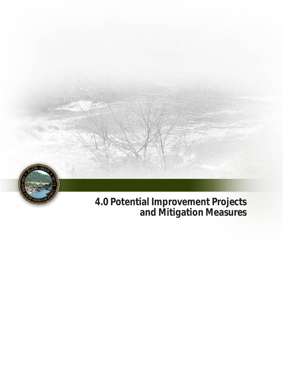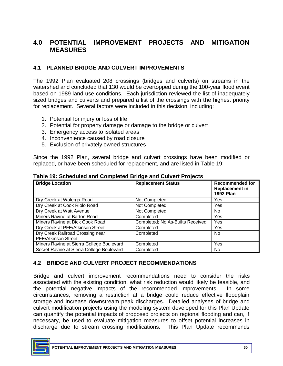# **4.0 POTENTIAL IMPROVEMENT PROJECTS AND MITIGATION MEASURES**

#### **4.1 PLANNED BRIDGE AND CULVERT IMPROVEMENTS**

 The 1992 Plan evaluated 208 crossings (bridges and culverts) on streams in the watershed and concluded that 130 would be overtopped during the 100-year flood event sized bridges and culverts and prepared a list of the crossings with the highest priority based on 1989 land use conditions. Each jurisdiction reviewed the list of inadequately for replacement. Several factors were included in this decision, including:

- 1. Potential for injury or loss of life
- 2. Potential for property damage or damage to the bridge or culvert
- 3. Emergency access to isolated areas
- 4. Inconvenience caused by road closure
- 5. Exclusion of privately owned structures

 Since the 1992 Plan, several bridge and culvert crossings have been modified or replaced, or have been scheduled for replacement, and are listed in Table 19:

| <b>Bridge Location</b>                    | <b>Replacement Status</b>        | <b>Recommended for</b><br><b>Replacement in</b><br><b>1992 Plan</b> |
|-------------------------------------------|----------------------------------|---------------------------------------------------------------------|
| Dry Creek at Walerga Road                 | Not Completed                    | Yes                                                                 |
| Dry Creek at Cook Riolo Road              | Not Completed                    | Yes                                                                 |
| Dry Creek at Watt Avenue                  | Not Completed                    | No.                                                                 |
| Miners Ravine at Barton Road              | Completed                        | Yes                                                                 |
| Miners Ravine at Dick Cook Road           | Completed; No As-Builts Received | Yes                                                                 |
| Dry Creek at PFE/Atkinson Street          | Completed                        | Yes                                                                 |
| Dry Creek Railroad Crossing near          | Completed                        | No.                                                                 |
| <b>PFE/Atkinson Street</b>                |                                  |                                                                     |
| Miners Ravine at Sierra College Boulevard | Completed                        | Yes                                                                 |
| Secret Ravine at Sierra College Boulevard | Completed                        | <b>No</b>                                                           |

 **Table 19: Scheduled and Completed Bridge and Culvert Projects** 

#### **4.2 BRIDGE AND CULVERT PROJECT RECOMMENDATIONS**

 Bridge and culvert improvement recommendations need to consider the risks associated with the existing condition, what risk reduction would likely be feasible, and the potential negative impacts of the recommended improvements. In some circumstances, removing a restriction at a bridge could reduce effective floodplain storage and increase downstream peak discharges. Detailed analyses of bridge and culvert modification projects using the modeling system developed for this Plan Update can quantify the potential impacts of proposed projects on regional flooding and can, if necessary, be used to evaluate mitigation measures to offset potential increases in discharge due to stream crossing modifications. This Plan Update recommends

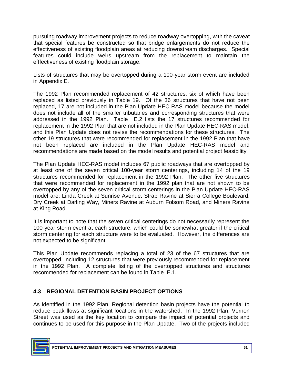that special features be constructed so that bridge enlargements do not reduce the effectiveness of existing floodplain areas at reducing downstream discharges. Special features could include weirs upstream from the replacement to maintain the pursuing roadway improvement projects to reduce roadway overtopping, with the caveat efffectiveness of existing floodplain storage.

 Lists of structures that may be overtopped during a 100-year storm event are included in Appendix E.

 The 1992 Plan recommended replacement of 42 structures, six of which have been replaced as listed previously in Table 19. Of the 36 structures that have not been replaced, 17 are not included in the Plan Update HEC-RAS model because the model does not include all of the smaller tributaries and corresponding structures that were addressed in the 1992 Plan. Table E.2 lists the 17 structures recommended for replacement in the 1992 Plan that are not included in the Plan Update HEC-RAS model, and this Plan Update does not revise the recommendations for these structures. The other 19 structures that were recommended for replacement in the 1992 Plan that have recommendations are made based on the model results and potential project feasibility. not been replaced are included in the Plan Update HEC-RAS model and

 The Plan Update HEC-RAS model includes 67 public roadways that are overtopped by at least one of the seven critical 100-year storm centerings, including 14 of the 19 structures recommended for replacement in the 1992 Plan. The other five structures that were recommended for replacement in the 1992 plan that are not shown to be overtopped by any of the seven critical storm centerings in the Plan Update HEC-RAS model are: Linda Creek at Sunrise Avenue, Strap Ravine at Sierra College Boulevard, Dry Creek at Darling Way, Miners Ravine at Auburn Folsom Road, and Miners Ravine at King Road.

at King Road.<br>It is important to note that the seven critical centerings do not necessarily represent the 100-year storm event at each structure, which could be somewhat greater if the critical storm centering for each structure were to be evaluated. However, the differences are not expected to be significant.

not expected to be significant.<br>This Plan Update recommends replacing a total of 23 of the 67 structures that are overtopped, including 12 structures that were previously recommended for replacement in the 1992 Plan. A complete listing of the overtopped structures and structures recommended for replacement can be found in Table E.1.

## **4.3 REGIONAL DETENTION BASIN PROJECT OPTIONS**

 As identified in the 1992 Plan, Regional detention basin projects have the potential to reduce peak flows at significant locations in the watershed. In the 1992 Plan, Vernon Street was used as the key location to compare the impact of potential projects and continues to be used for this purpose in the Plan Update. Two of the projects included

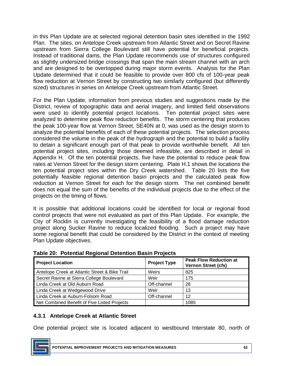in this Plan Update are at selected regional detention basin sites identified in the 1992 Plan. The sites, on Antelope Creek upstream from Atlantic Street and on Secret Ravine upstream from Sierra College Boulevard still have potential for beneficial projects. Instead of traditional dams, the Plan Update recommends use of structures configured as slightly undersized bridge crossings that span the main stream channel with an arch and are designed to be overtopped during major storm events. Analysis for the Plan Update determined that it could be feasible to provide over 800 cfs of 100-year peak flow reduction at Vernon Street by constructing two similarly configured (but differently sized) structures in series on Antelope Creek upstream from Atlantic Street.

 For the Plan Update, information from previous studies and suggestions made by the District, review of topographic data and aerial imagery, and limited field observations were used to identify potential project locations. Ten potential project sites were analyzed to determine peak flow reduction benefits. The storm centering that produces the peak 100-year flow at Vernon Street, SE40N at 0, was used as the design storm to analyze the potential benefits of each of these potential projects. The selection process considered the volume in the peak of the hydrograph and the potential to build a facility to detain a significant enough part of that peak to provide worthwhile benefit. All ten potential project sites, including those deemed infeasible, are described in detail in Appendix H. Of the ten potential projects, five have the potential to reduce peak flow rates at Vernon Street for the design storm centering. Plate H.1 shows the locations the ten potential project sites within the Dry Creek watershed. Table 20 lists the five potentially feasible regional detention basin projects and the calculated peak flow reduction at Vernon Street for each for the design storm. The net combined benefit does not equal the sum of the benefits of the individual projects due to the effect of the projects on the timing of flows.

 It is possible that additional locations could be identified for local or regional flood control projects that were not evaluated as part of this Plan Update. For example, the City of Rocklin is currently investigating the feasibility of a flood damage reduction project along Sucker Ravine to reduce localized flooding. Such a project may have some regional benefit that could be considered by the District in the context of meeting Plan Update objectives.

| <b>Project Location</b>                        | <b>Project Type</b> | <b>Peak Flow Reduction at</b><br><b>Vernon Street (cfs)</b> |
|------------------------------------------------|---------------------|-------------------------------------------------------------|
| Antelope Creek at Atlantic Street & Bike Trail | Weirs               | 825                                                         |
| Secret Ravine at Sierra College Boulevard      | Weir                | 175                                                         |
| Linda Creek at Old Auburn Road                 | Off-channel         | 28                                                          |
| Linda Creek at Wedgewood Drive                 | Weir                | 13                                                          |
| Linda Creek at Auburn-Folsom Road              | Off-channel         | 12                                                          |
| Net Combined Benefit of Five Listed Projects   |                     | 1085                                                        |

 **Table 20: Potential Regional Detention Basin Projects** 

## **4.3.1 Antelope Creek at Atlantic Street**

One potential project site is located adjacent to westbound Interstate 80, north of

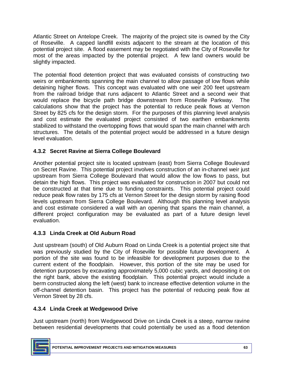Atlantic Street on Antelope Creek. The majority of the project site is owned by the City of Roseville. A capped landfill exists adjacent to the stream at the location of this potential project site. A flood easement may be negotiated with the City of Roseville for most of the areas impacted by the potential project. A few land owners would be slightly impacted.

 The potential flood detention project that was evaluated consists of constructing two weirs or embankments spanning the main channel to allow passage of low flows while detaining higher flows. This concept was evaluated with one weir 200 feet upstream from the railroad bridge that runs adjacent to Atlantic Street and a second weir that would replace the bicycle path bridge downstream from Roseville Parkway. The calculations show that the project has the potential to reduce peak flows at Vernon Street by 825 cfs for the design storm. For the purposes of this planning level analysis stabilized to withstand the overtopping flows that would span the main channel with arch structures. The details of the potential project would be addressed in a future design level evaluation. and cost estimate the evaluated project consisted of two earthen embankments

## **4.3.2 Secret Ravine at Sierra College Boulevard**

 Another potential project site is located upstream (east) from Sierra College Boulevard on Secret Ravine. This potential project involves construction of an in-channel weir just upstream from Sierra College Boulevard that would allow the low flows to pass, but detain the high flows. This project was evaluated for construction in 2007 but could not be constructed at that time due to funding constraints. This potential project could reduce peak flow rates by 175 cfs at Vernon Street for the design storm by raising flood levels upstream from Sierra College Boulevard. Although this planning level analysis and cost estimate considered a wall with an opening that spans the main channel, a different project configuration may be evaluated as part of a future design level evaluation.

## **4.3.3 Linda Creek at Old Auburn Road**

 Just upstream (south) of Old Auburn Road on Linda Creek is a potential project site that was previously studied by the City of Roseville for possible future development. A current extent of the floodplain. However, this portion of the site may be used for detention purposes by excavating approximately 5,000 cubic yards, and depositing it on the right bank, above the existing floodplain. This potential project would include a off-channel detention basin. This project has the potential of reducing peak flow at Vernon Street by 28 cfs. portion of the site was found to be infeasible for development purposes due to the berm constructed along the left (west) bank to increase effective detention volume in the

## **4.3.4 Linda Creek at Wedgewood Drive**

 Just upstream (north) from Wedgewood Drive on Linda Creek is a steep, narrow ravine between residential developments that could potentially be used as a flood detention

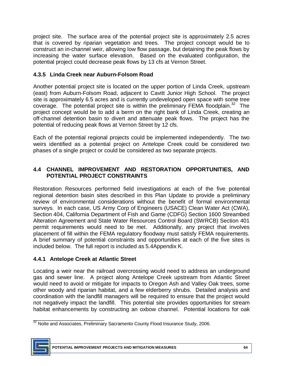project site. The surface area of the potential project site is approximately 2.5 acres construct an in-channel weir, allowing low flow passage, but detaining the peak flows by increasing the water surface elevation. Based on the evaluated configuration, the potential project could decrease peak flows by 13 cfs at Vernon Street. that is covered by riparian vegetation and trees. The project concept would be to

### **4.3.5 Linda Creek near Auburn-Folsom Road**

 Another potential project site is located on the upper portion of Linda Creek, upstream (east) from Auburn-Folsom Road, adjacent to Cavitt Junior High School. The project site is approximately 6.5 acres and is currently undeveloped open space with some tree coverage. The potential project site is within the preliminary FEMA floodplain. $32$  The project concept would be to add a berm on the right bank of Linda Creek, creating an off-channel detention basin to divert and attenuate peak flows. The project has the potential of reducing peak flows at Vernon Street by 12 cfs.

 Each of the potential regional projects could be implemented independently. The two weirs identified as a potential project on Antelope Creek could be considered two phases of a single project or could be considered as two separate projects.

### **4.4 CHANNEL IMPROVEMENT AND RESTORATION OPPORTUNITIES, AND POTENTIAL PROJECT CONSTRAINTS**

 Restoration Resources performed field investigations at each of the five potential regional detention basin sites described in this Plan Update to provide a preliminary review of environmental considerations without the benefit of formal environmental surveys. In each case, US Army Corp of Engineers (USACE) Clean Water Act (CWA), Section 404, California Department of Fish and Game (CDFG) Section 1600 Streambed Alteration Agreement and State Water Resources Control Board (SWRCB) Section 401 permit requirements would need to be met. Additionally, any project that involves placement of fill within the FEMA regulatory floodway must satisfy FEMA requirements. A brief summary of potential constraints and opportunities at each of the five sites is included below. The full report is included as 5.4Appendix K.

## **4.4.1 Antelope Creek at Atlantic Street**

 Locating a weir near the railroad overcrossing would need to address an underground gas and sewer line. A project along Antelope Creek upstream from Atlantic Street would need to avoid or mitigate for impacts to Oregon Ash and Valley Oak trees, some other woody and riparian habitat, and a few elderberry shrubs. Detailed analysis and coordination with the landfill managers will be required to ensure that the project would not negatively impact the landfill. This potential site provides opportunities for stream habitat enhancements by constructing an oxbow channel. Potential locations for oak

\_\_\_\_\_\_\_\_\_\_\_\_\_\_\_\_\_\_\_\_\_\_\_  $32$  Nolte and Associates, Preliminary Sacramento County Flood Insurance Study, 2006.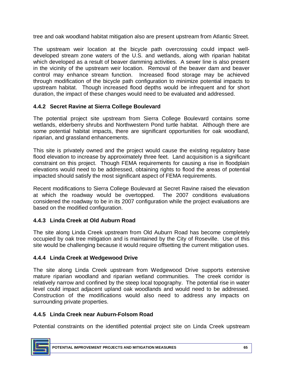tree and oak woodland habitat mitigation also are present upstream from Atlantic Street.

 The upstream weir location at the bicycle path overcrossing could impact well- which developed as a result of beaver damming activities. A sewer line is also present in the vicinity of the upstream weir location. Removal of the beaver dam and beaver control may enhance stream function. Increased flood storage may be achieved through modification of the bicycle path configuration to minimize potential impacts to upstream habitat. Though increased flood depths would be infrequent and for short developed stream zone waters of the U.S. and wetlands, along with riparian habitat duration, the impact of these changes would need to be evaluated and addressed.

### **4.4.2 Secret Ravine at Sierra College Boulevard**

 The potential project site upstream from Sierra College Boulevard contains some wetlands, elderberry shrubs and Northwestern Pond turtle habitat. Although there are some potential habitat impacts, there are significant opportunities for oak woodland, riparian, and grassland enhancements.

 This site is privately owned and the project would cause the existing regulatory base flood elevation to increase by approximately three feet. Land acquisition is a significant constraint on this project. Though FEMA requirements for causing a rise in floodplain elevations would need to be addressed, obtaining rights to flood the areas of potential impacted should satisfy the most significant aspect of FEMA requirements.

 Recent modifications to Sierra College Boulevard at Secret Ravine raised the elevation at which the roadway would be overtopped. The 2007 conditions evaluations considered the roadway to be in its 2007 configuration while the project evaluations are based on the modified configuration.

#### **4.4.3 Linda Creek at Old Auburn Road**

 The site along Linda Creek upstream from Old Auburn Road has become completely occupied by oak tree mitigation and is maintained by the City of Roseville. Use of this site would be challenging because it would require offsetting the current mitigation uses.

#### **4.4.4 Linda Creek at Wedgewood Drive**

 The site along Linda Creek upstream from Wedgewood Drive supports extensive mature riparian woodland and riparian wetland communities. The creek corridor is relatively narrow and confined by the steep local topography. The potential rise in water level could impact adjacent upland oak woodlands and would need to be addressed. Construction of the modifications would also need to address any impacts on surrounding private properties.

#### **4.4.5 Linda Creek near Auburn-Folsom Road**

Potential constraints on the identified potential project site on Linda Creek upstream

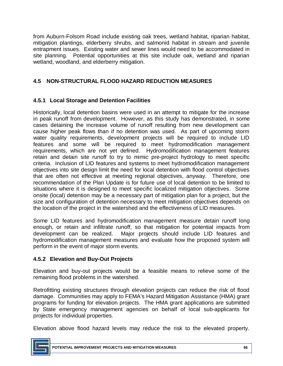from Auburn-Folsom Road include existing oak trees, wetland habitat, riparian habitat, mitigation plantings, elderberry shrubs, and salmonid habitat in stream and juvenile entrapment issues. Existing water and sewer lines would need to be accommodated in site planning. Potential opportunities at this site include oak, wetland and riparian wetland, woodland, and elderberry mitigation.

## **4.5 NON-STRUCTURAL FLOOD HAZARD REDUCTION MEASURES**

## **4.5.1 Local Storage and Detention Facilities**

 Historically, local detention basins were used in an attempt to mitigate for the increase in peak runoff from development. However, as this study has demonstrated, in some cases detaining the increase volume of runoff resulting from new development can cause higher peak flows than if no detention was used. As part of upcoming storm water quality requirements, development projects will be required to include LID features and some will be required to meet hydromodification management requirements, which are not yet defined. Hydromodification management features retain and detain site runoff to try to mimic pre-project hydrology to meet specific criteria. Inclusion of LID features and systems to meet hydromodification management objectives into site design limit the need for local detention with flood control objectives recommendation of the Plan Update is for future use of local detention to be limited to situations where it is designed to meet specific localized mitigation objectives. Some size and configuration of detention necessary to meet mitigation objectives depends on that are often not effective at meeting regional objectives, anyway. Therefore, one onsite (local) detention may be a necessary part of mitigation plan for a project, but the the location of the project in the watershed and the effectiveness of LID measures.

 Some LID features and hydromodification management measure detain runoff long enough, or retain and infiltrate runoff, so that mitigation for potential impacts from development can be realized. Major projects should include LID features and hydromodification management measures and evaluate how the proposed system will perform in the event of major storm events.

## **4.5.2 Elevation and Buy-Out Projects**

 Elevation and buy-out projects would be a feasible means to relieve some of the remaining flood problems in the watershed.

 Retrofitting existing structures through elevation projects can reduce the risk of flood damage. Communities may apply to FEMA's Hazard Mitigation Assistance (HMA) grant programs for funding for elevation projects. The HMA grant applications are submitted by State emergency management agencies on behalf of local sub-applicants for projects for individual properties.

Elevation above flood hazard levels may reduce the risk to the elevated property.

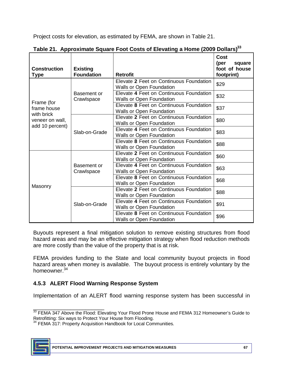Project costs for elevation, as estimated by FEMA, are shown in Table 21.

| <b>Construction</b><br><b>Type</b> | <b>Existing</b><br><b>Foundation</b> | <b>Retrofit</b>                                                            | <b>Cost</b><br>(per<br>square<br>foot of house<br>footprint) |
|------------------------------------|--------------------------------------|----------------------------------------------------------------------------|--------------------------------------------------------------|
|                                    |                                      | Elevate 2 Feet on Continuous Foundation<br><b>Walls or Open Foundation</b> | \$29                                                         |
| Frame (for                         | Basement or<br>Crawlspace            | Elevate 4 Feet on Continuous Foundation<br><b>Walls or Open Foundation</b> | \$32                                                         |
| frame house<br>with brick          |                                      | Elevate 8 Feet on Continuous Foundation<br><b>Walls or Open Foundation</b> | \$37                                                         |
| veneer on wall,<br>add 10 percent) |                                      | Elevate 2 Feet on Continuous Foundation<br><b>Walls or Open Foundation</b> | \$80                                                         |
|                                    | Slab-on-Grade                        | Elevate 4 Feet on Continuous Foundation<br><b>Walls or Open Foundation</b> | \$83                                                         |
|                                    |                                      | Elevate 8 Feet on Continuous Foundation<br><b>Walls or Open Foundation</b> | \$88                                                         |
|                                    |                                      | Elevate 2 Feet on Continuous Foundation<br><b>Walls or Open Foundation</b> | \$60                                                         |
|                                    | Basement or<br>Crawlspace            | Elevate 4 Feet on Continuous Foundation<br><b>Walls or Open Foundation</b> | \$63                                                         |
| Masonry                            |                                      | Elevate 8 Feet on Continuous Foundation<br>Walls or Open Foundation        | \$68                                                         |
|                                    |                                      | Elevate 2 Feet on Continuous Foundation<br><b>Walls or Open Foundation</b> | \$88                                                         |
|                                    | Slab-on-Grade                        | Elevate 4 Feet on Continuous Foundation<br><b>Walls or Open Foundation</b> | \$91                                                         |
|                                    |                                      | Elevate 8 Feet on Continuous Foundation<br><b>Walls or Open Foundation</b> | \$96                                                         |

| Table 21. Approximate Square Foot Costs of Elevating a Home (2009 Dollars) <sup>33</sup> |  |  |  |
|------------------------------------------------------------------------------------------|--|--|--|
|                                                                                          |  |  |  |

 Buyouts represent a final mitigation solution to remove existing structures from flood hazard areas and may be an effective mitigation strategy when flood reduction methods are more costly than the value of the property that is at risk.

 FEMA provides funding to the State and local community buyout projects in flood hazard areas when money is available. The buyout process is entirely voluntary by the homeowner.<sup>34</sup>

# **4.5.3 ALERT Flood Warning Response System**

Implementation of an ALERT flood warning response system has been successful in

<sup>34</sup> FEMA 317: Property Acquisition Handbook for Local Communities.



\_\_\_\_\_\_\_\_\_\_\_\_\_\_\_\_\_\_\_\_\_\_\_ Retrofitting: Six ways to Protect Your House from Flooding.  $^{33}$  FEMA 347 Above the Flood: Elevating Your Flood Prone House and FEMA 312 Homeowner's Guide to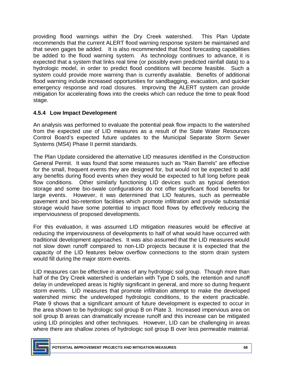providing flood warnings within the Dry Creek watershed. This Plan Update recommends that the current ALERT flood warning response system be maintained and that seven gages be added. It is also recommended that flood forecasting capabilities be added to the flood warning system. As technology continues to advance, it is expected that a system that links real time (or possibly even predicted rainfall data) to a hydrologic model, in order to predict flood conditions will become feasible. Such a system could provide more warning than is currently available. Benefits of additional flood warning include increased opportunities for sandbagging, evacuation, and quicker emergency response and road closures. Improving the ALERT system can provide mitigation for accelerating flows into the creeks which can reduce the time to peak flood stage.

### **4.5.4 Low Impact Development**

 An analysis was performed to evaluate the potential peak flow impacts to the watershed from the expected use of LID measures as a result of the State Water Resources Control Board's expected future updates to the Municipal Separate Storm Sewer Systems (MS4) Phase II permit standards.

 The Plan Update considered the alternative LID measures identified in the Construction General Permit. It was found that some measures such as "Rain Barrels" are effective for the small, frequent events they are designed for, but would not be expected to add any benefits during flood events when they would be expected to full long before peak flow conditions. Other similarly functioning LID devices such as typical detention storage and some bio-swale configurations do not offer significant flood benefits for large events. However, it was determined that LID features, such as permeable pavement and bio-retention facilities which promote infiltration and provide substantial storage would have some potential to impact flood flows by effectively reducing the imperviousness of proposed developments.

 For this evaluation, it was assumed LID mitigation measures would be effective at reducing the imperviousness of developments to half of what would have occurred with traditional development approaches. It was also assumed that the LID measures would not slow down runoff compared to non-LID projects because it is expected that the capacity of the LID features below overflow connections to the storm drain system would fill during the major storm events.

 LID measures can be effective in areas of any hydrologic soil group. Though more than half of the Dry Creek watershed is underlain with Type D soils, the retention and runoff delay in undeveloped areas is highly significant in general, and more so during frequent storm events. LID measures that promote infiltration attempt to make the developed watershed mimic the undeveloped hydrologic conditions, to the extent practicable. Plate 9 shows that a significant amount of future development is expected to occur in the area shown to be hydrologic soil group B on Plate 3. Increased impervious area on soil group B areas can dramatically increase runoff and this increase can be mitigated using LID principles and other techniques. However, LID can be challenging in areas where there are shallow zones of hydrologic soil group B over less permeable material.

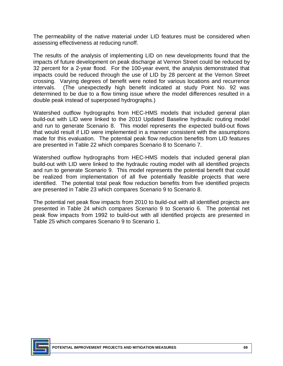The permeability of the native material under LID features must be considered when assessing effectiveness at reducing runoff.

 The results of the analysis of implementing LID on new developments found that the impacts of future development on peak discharge at Vernon Street could be reduced by 32 percent for a 2-year flood. For the 100-year event, the analysis demonstrated that impacts could be reduced through the use of LID by 28 percent at the Vernon Street crossing. Varying degrees of benefit were noted for various locations and recurrence intervals. determined to be due to a flow timing issue where the model differences resulted in a (The unexpectedly high benefit indicated at study Point No. 92 was double peak instead of superposed hydrographs.)

 Watershed outflow hydrographs from HEC-HMS models that included general plan build-out with LID were linked to the 2010 Updated Baseline hydraulic routing model and run to generate Scenario 8. This model represents the expected build-out flows that would result if LID were implemented in a manner consistent with the assumptions made for this evaluation. The potential peak flow reduction benefits from LID features are presented in Table 22 which compares Scenario 8 to Scenario 7.

 Watershed outflow hydrographs from HEC-HMS models that included general plan build-out with LID were linked to the hydraulic routing model with all identified projects and run to generate Scenario 9. This model represents the potential benefit that could be realized from implementation of all five potentially feasible projects that were identified. The potential total peak flow reduction benefits from five identified projects are presented in Table 23 which compares Scenario 9 to Scenario 8.

 The potential net peak flow impacts from 2010 to build-out with all identified projects are presented in Table 24 which compares Scenario 9 to Scenario 6. The potential net peak flow impacts from 1992 to build-out with all identified projects are presented in Table 25 which compares Scenario 9 to Scenario 1.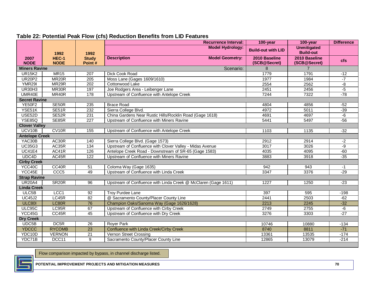|                       |                      |                        | <b>Recurrence Interval:</b>                                    | 100-year                      | 100-year                               | <b>Difference</b> |
|-----------------------|----------------------|------------------------|----------------------------------------------------------------|-------------------------------|----------------------------------------|-------------------|
|                       | 1992                 | 1992                   | <b>Model Hydrology:</b>                                        | <b>Build-out with LID</b>     | <b>Unmitigated</b><br><b>Build-out</b> |                   |
| 2007<br><b>NODE</b>   | HEC-1<br><b>NODE</b> | <b>Study</b><br>Point# | <b>Description</b><br><b>Model Geometry:</b>                   | 2010 Baseline<br>(SCB@Secret) | 2010 Baseline<br>(SCB@Secret)          | <b>cfs</b>        |
| <b>Miners Ravine</b>  |                      |                        | Scenario:                                                      | 8                             | $\overline{7}$                         |                   |
| <b>UR15K2</b>         | <b>MR15</b>          | 207                    | Dick Cook Road                                                 | 1779                          | 1791                                   | $-12$             |
| <b>UR20P2</b>         | MR <sub>20</sub> R   | 205                    | Moss Lane (Gages 1609/1610)                                    | 1977                          | 1984                                   | $-7$              |
| YMR <sub>29</sub>     | MR <sub>29</sub> R   | 202                    | Cottonwood Lake                                                | 2554                          | 2562                                   | -8                |
| <b>UR30H3</b>         | MR30R                | 197                    | Joe Rodgers Area - Leibenger Lane                              | 2451                          | 2456                                   | $-5$              |
| UMR40E                | MR40R                | 178                    | Upstream of Confluence with Antelope Creek                     | 7244                          | 7322                                   | $-78$             |
| <b>Secret Ravine</b>  |                      |                        |                                                                |                               |                                        |                   |
| <b>YE50F2</b>         | SE50R                | 235                    | <b>Brace Road</b>                                              | 4804                          | 4856                                   | $-52$             |
| YSE51K                | SE51R                | 232                    | Sierra College Blvd.                                           | 4972                          | 5011                                   | $-39$             |
| USE <sub>52D</sub>    | SE52R                | 231                    | China Gardens Near Rustic Hills/Rocklin Road (Gage 1618)       | 4691                          | 4697                                   | $-\overline{6}$   |
| <b>YSE85Q</b>         | SE85R                | 227                    | Upstream of Confluence with Miners Ravine                      | 5441                          | 5497                                   | $-56$             |
| <b>Clover Valley</b>  |                      |                        |                                                                |                               |                                        |                   |
| UCV10B                | CV10R                | 155                    | Upstream of Confluence with Antelope Creek                     | 1103                          | 1135                                   | $-32$             |
| <b>Antelope Creek</b> |                      |                        |                                                                |                               |                                        |                   |
| YAC30B                | AC30R                | 140                    | Sierra College Blvd. (Gage 1573)                               | 2912                          | 2914                                   | $-2$              |
| <b>UC35G3</b>         | AC35R                | 134                    | Upstream of Confluence with Clover Valley - Midas Avenue       | 3017                          | 3026                                   | $-9$              |
| <b>UC41E4</b>         | AC41R                | 126                    | Antelope Creek Road - Downstream of SR-65 (Gage 1583)          | 4035                          | 4095                                   | $-60$             |
| UDC4D                 | AC45R                | 122                    | Upstream of Confluence with Miners Ravine                      | 3883                          | 3918                                   | $-35$             |
| <b>Cirby Creek</b>    |                      |                        |                                                                |                               |                                        |                   |
| YCC40C                | CC40R                | $\overline{51}$        | Coloma Way (Gage 1635)                                         | 942                           | 943                                    | $-1$              |
| YCC45E                | CCC <sub>5</sub>     | 49                     | Upstream of Confluence with Linda Creek                        | 3347                          | 3376                                   | $-29$             |
| <b>Strap Ravine</b>   |                      |                        |                                                                |                               |                                        |                   |
| <b>UR20A4</b>         | SR <sub>20R</sub>    | 96                     | Upstream of Confluence with Linda Creek @ McClaren (Gage 1611) | 1227                          | 1250                                   | $-23$             |
| <b>Linda Creek</b>    |                      |                        |                                                                |                               |                                        |                   |
| ULC5B                 | LCC1                 | 92                     | <b>Troy Purdee Lane</b>                                        | 397                           | 595                                    | $-198$            |
| <b>UC45J2</b>         | LC45R                | 82                     | @ Sacramento County/Placer County Line                         | 2441                          | 2503                                   | $-62$             |
| <b>ULC801</b>         | LC80R                | 76                     | Champion Oaks/Sanoma Way (Gage 1626/1628)                      | 2213                          | 2245                                   | $-32$             |
| ULC95C                | LC95R                | 67                     | Upstream of Confluence with Cirby Creek                        | 2749                          | 2755                                   | $-6$              |
| YCC45G                | CC45R                | 45                     | $-27$<br>3276<br>Upstream of Confluence with Dry Creek<br>3303 |                               |                                        |                   |
| <b>Dry Creek</b>      |                      |                        |                                                                |                               |                                        |                   |
| UDC5B                 | DC5R                 | $\overline{26}$        | <b>Royer Park</b>                                              | 10746                         | 10880                                  | $-134$            |
| <b>YDCCC</b>          | <b>RYCOMB</b>        | 23                     | Confluence with Linda Creek/Cirby Creek                        | 8740                          | 8811                                   | $-71$             |
| YDC10D                | <b>VERNON</b>        | 21                     | Vernon Street Crossing                                         | 13361                         | 13535                                  | $-174$            |
| YDC71B                | DCC11                | $\overline{9}$         | Sacramento County/Placer County Line                           | 12865                         | 13079                                  | $-214$            |

#### **Table 22: Potential Peak Flow (cfs) Reduction Benefits from LID Features**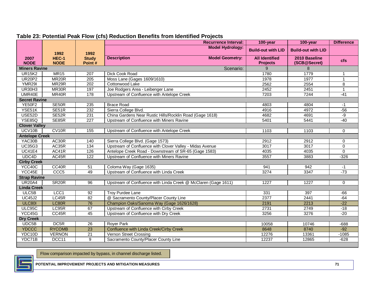|                       |                      |                        | <b>Recurrence Interval:</b>                                    | 100-year                                 | 100-year                      | <b>Difference</b> |
|-----------------------|----------------------|------------------------|----------------------------------------------------------------|------------------------------------------|-------------------------------|-------------------|
|                       | 1992                 | 1992                   | <b>Model Hydrology:</b>                                        | <b>Build-out with LID</b>                | <b>Build-out with LID</b>     |                   |
| 2007<br><b>NODE</b>   | HEC-1<br><b>NODE</b> | <b>Study</b><br>Point# | <b>Description</b><br><b>Model Geometry:</b>                   | <b>All Identified</b><br><b>Projects</b> | 2010 Baseline<br>(SCB@Secret) | <b>cfs</b>        |
| <b>Miners Ravine</b>  |                      |                        | Scenario:                                                      | 9                                        | 8                             |                   |
| <b>UR15K2</b>         | <b>MR15</b>          | 207                    | Dick Cook Road                                                 | 1780                                     | 1779                          | 1                 |
| <b>UR20P2</b>         | MR <sub>20</sub> R   | $\overline{205}$       | Moss Lane (Gages 1609/1610)                                    | 1978                                     | 1977                          | $\mathbf{1}$      |
| <b>YMR29I</b>         | MR29R                | $\overline{202}$       | Cottonwood Lake                                                | 2562                                     | 2554                          | 8                 |
| <b>UR30H3</b>         | MR30R                | 197                    | Joe Rodgers Area - Leibenger Lane                              | 2452                                     | 2451                          | $\mathbf{1}$      |
| UMR40E                | MR40R                | 178                    | Upstream of Confluence with Antelope Creek                     | 7203                                     | 7244                          | $-41$             |
| <b>Secret Ravine</b>  |                      |                        |                                                                |                                          |                               |                   |
| <b>YE50F2</b>         | SE50R                | 235                    | <b>Brace Road</b>                                              | 4803                                     | 4804                          | $-1$              |
| YSE51K                | SE51R                | 232                    | Sierra College Blvd.                                           | 4916                                     | 4972                          | $-56$             |
| USE <sub>52D</sub>    | SE52R                | 231                    | China Gardens Near Rustic Hills/Rocklin Road (Gage 1618)       | 4682                                     | 4691                          | $-9$              |
| <b>YSE85Q</b>         | SE85R                | 227                    | Upstream of Confluence with Miners Ravine                      | 5401                                     | 5441                          | $-40$             |
| <b>Clover Valley</b>  |                      |                        |                                                                |                                          |                               |                   |
| UCV10B                | CV <sub>10R</sub>    | 155                    | Upstream of Confluence with Antelope Creek                     | 1103                                     | 1103                          | $\mathbf 0$       |
| <b>Antelope Creek</b> |                      |                        |                                                                |                                          |                               |                   |
| YAC30B                | AC30R                | 140                    | Sierra College Blvd. (Gage 1573)                               | 2912                                     | 2912                          | $\mathbf 0$       |
| <b>UC35G3</b>         | AC35R                | 134                    | Upstream of Confluence with Clover Valley - Midas Avenue       | 3017                                     | 3017                          | 0                 |
| <b>UC41E4</b>         | AC41R                | 126                    | Antelope Creek Road - Downstream of SR-65 (Gage 1583)          | 4035                                     | 4035                          | $\Omega$          |
| UDC4D                 | AC45R                | $\overline{122}$       | Upstream of Confluence with Miners Ravine                      | 3557                                     | 3883                          | $-326$            |
| <b>Cirby Creek</b>    |                      |                        |                                                                |                                          |                               |                   |
| YCC40C                | CC40R                | 51                     | Coloma Way (Gage 1635)                                         | 941                                      | 942                           | $-1$              |
| YCC45E                | CCC <sub>5</sub>     | 49                     | Upstream of Confluence with Linda Creek                        | 3274                                     | 3347                          | $-73$             |
| <b>Strap Ravine</b>   |                      |                        |                                                                |                                          |                               |                   |
| <b>UR20A4</b>         | SR <sub>20</sub> R   | 96                     | Upstream of Confluence with Linda Creek @ McClaren (Gage 1611) | 1227                                     | 1227                          | $\mathbf 0$       |
| <b>Linda Creek</b>    |                      |                        |                                                                |                                          |                               |                   |
| ULC5B                 | LCC <sub>1</sub>     | 92                     | <b>Troy Purdee Lane</b>                                        | 331                                      | 397                           | $-66$             |
| <b>UC45J2</b>         | LC45R                | 82                     | @ Sacramento County/Placer County Line                         | 2377                                     | 2441                          | $-64$             |
| <b>ULC801</b>         | LC80R                | 76                     | Champion Oaks/Sanoma Way (Gage 1626/1628)                      | 2191                                     | 2213                          | $-22$             |
| ULC95C                | LC95R                | 67                     | Upstream of Confluence with Cirby Creek                        | 2731                                     | 2749                          | $-18$             |
| YCC45G                | CC45R                | 45                     | Upstream of Confluence with Dry Creek                          | 3256                                     | 3276                          | $-20$             |
| <b>Dry Creek</b>      |                      |                        |                                                                |                                          |                               |                   |
| UDC5B                 | DC <sub>5R</sub>     | $\overline{26}$        | <b>Royer Park</b>                                              | 10058                                    | 10746                         | $-688$            |
| <b>YDCCC</b>          | <b>RYCOMB</b>        | 23                     | Confluence with Linda Creek/Cirby Creek                        | 8648                                     | 8740                          | $-92$             |
| YDC10D                | <b>VERNON</b>        | $\overline{21}$        | Vernon Street Crossing                                         | 12276                                    | 13361                         | $-1085$           |
| YDC71B                | DCC11                | $\overline{9}$         | Sacramento County/Placer County Line                           | 12237                                    | 12865                         | $-628$            |

#### **Table 23: Potential Peak Flow (cfs) Reduction Benefits from Identified Projects**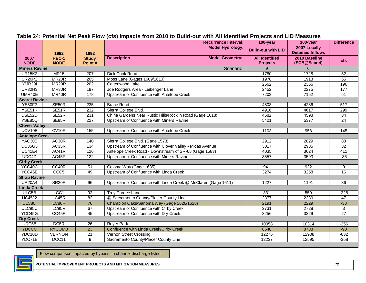|                       |                           |                        | <b>Recurrence Interval:</b>                                    | 100-year                                 | <b>Difference</b>                       |                 |
|-----------------------|---------------------------|------------------------|----------------------------------------------------------------|------------------------------------------|-----------------------------------------|-----------------|
|                       | 1992                      | 1992                   | <b>Model Hydrology:</b>                                        | <b>Build-out with LID</b>                | 2007 Locally<br><b>Detained Inflows</b> |                 |
| 2007<br><b>NODE</b>   | HEC-1<br><b>NODE</b>      | <b>Study</b><br>Point# | <b>Model Geometry:</b><br><b>Description</b>                   | <b>All Identified</b><br><b>Projects</b> | 2010 Baseline<br>(SCB@Secret)           | <b>cfs</b>      |
| <b>Miners Ravine</b>  |                           |                        | Scenario:                                                      | 9                                        | 6                                       |                 |
| <b>UR15K2</b>         | <b>MR15</b>               | 207                    | <b>Dick Cook Road</b>                                          | 1780                                     | 1728                                    | 52              |
| <b>UR20P2</b>         | MR <sub>20</sub> R        | 205                    | Moss Lane (Gages 1609/1610)                                    | 1978                                     | 1913                                    | 65              |
| <b>YMR29I</b>         | MR <sub>29</sub> R        | 202                    | Cottonwood Lake                                                | 2562                                     | 2366                                    | 196             |
| <b>UR30H3</b>         | MR30R                     | 197                    | Joe Rodgers Area - Leibenger Lane                              | 2452                                     | 2275                                    | 177             |
| UMR40E                | MR40R                     | 178                    | Upstream of Confluence with Antelope Creek                     | 7203                                     | 7152                                    | 51              |
| <b>Secret Ravine</b>  |                           |                        |                                                                |                                          |                                         |                 |
| <b>YE50F2</b>         | SE50R                     | 235                    | <b>Brace Road</b>                                              | 4803                                     | 4286                                    | 517             |
| YSE51K                | SE51R                     | 232                    | Sierra College Blvd.                                           | 4916                                     | 4617                                    | 299             |
| <b>USE52D</b>         | SE52R                     | 231                    | China Gardens Near Rustic Hills/Rocklin Road (Gage 1618)       | 4682                                     | 4598                                    | 84              |
| <b>YSE85Q</b>         | SE85R                     | 227                    | Upstream of Confluence with Miners Ravine                      | 5401                                     | 5377                                    | 24              |
| <b>Clover Valley</b>  |                           |                        |                                                                |                                          |                                         |                 |
| UCV10B                | $\overline{\text{C}V10R}$ | 155                    | Upstream of Confluence with Antelope Creek                     | 1103                                     | 958                                     | 145             |
| <b>Antelope Creek</b> |                           |                        |                                                                |                                          |                                         |                 |
| YAC30B                | AC30R                     | 140                    | Sierra College Blvd. (Gage 1573)                               | 2912                                     | 2829                                    | 83              |
| <b>UC35G3</b>         | AC35R                     | 134                    | Upstream of Confluence with Clover Valley - Midas Avenue       | 3017                                     | 2985                                    | 32              |
| <b>UC41E4</b>         | AC41R                     | 126                    | Antelope Creek Road - Downstream of SR-65 (Gage 1583)          | 4035                                     | 3624                                    | 411             |
| UDC4D                 | AC45R                     | 122                    | Upstream of Confluence with Miners Ravine                      | 3557                                     | 3593                                    | $-36$           |
| <b>Cirby Creek</b>    |                           |                        |                                                                |                                          |                                         |                 |
| YCC40C                | CC40R                     | 51                     | Coloma Way (Gage 1635)                                         | 941                                      | 932                                     | 9               |
| YCC45E                | CCC <sub>5</sub>          | 49                     | Upstream of Confluence with Linda Creek                        | 3274                                     | 3258                                    | 16              |
| <b>Strap Ravine</b>   |                           |                        |                                                                |                                          |                                         |                 |
| <b>UR20A4</b>         | SR <sub>20R</sub>         | 96                     | Upstream of Confluence with Linda Creek @ McClaren (Gage 1611) | 1227                                     | 1191                                    | 36              |
| <b>Linda Creek</b>    |                           |                        |                                                                |                                          |                                         |                 |
| ULC5B                 | LCC <sub>1</sub>          | 92                     | <b>Troy Purdee Lane</b>                                        | 331                                      | 559                                     | $-228$          |
| <b>UC45J2</b>         | LC45R                     | 82                     | @ Sacramento County/Placer County Line                         | 2377                                     | 2330                                    | 47              |
| <b>ULC801</b>         | LC80R                     | 76                     | Champion Oaks/Sanoma Way (Gage 1626/1628)                      | 2191                                     | 2229                                    | $-38$           |
| ULC95C                | LC95R                     | 67                     | Upstream of Confluence with Cirby Creek                        | 2731                                     | 2728                                    | 3               |
| YCC45G                | CC45R                     | 45                     | Upstream of Confluence with Dry Creek                          | 3256                                     | 3229                                    | $\overline{27}$ |
| <b>Dry Creek</b>      |                           |                        |                                                                |                                          |                                         |                 |
| UDC5B                 | DC <sub>5R</sub>          | $\overline{26}$        | <b>Royer Park</b>                                              | 10058                                    | 10314                                   | $-256$          |
| <b>YDCCC</b>          | <b>RYCOMB</b>             | 23                     | Confluence with Linda Creek/Cirby Creek                        | 8648                                     | 8738                                    | $-90$           |
| YDC10D                | <b>VERNON</b>             | $\overline{21}$        | Vernon Street Crossing                                         | 12276                                    | 12908                                   | $-632$          |
| YDC71B                | DCC11                     | $\overline{9}$         | Sacramento County/Placer County Line                           | 12237                                    | 12595                                   | $-358$          |

#### **Table 24: Potential Net Peak Flow (cfs) Impacts from 2010 to Build-out with All Identified Projects and LID Measures**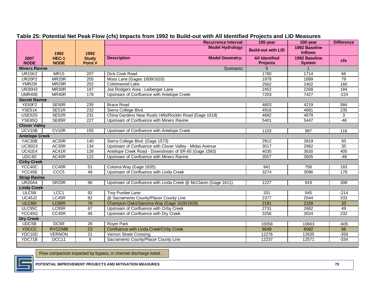| <b>Model Hydrology:</b><br>1992 Baseline<br><b>Build-out with LID</b><br><b>Inflows</b><br>1992<br>1992<br>1992 Baseline<br>HEC-1<br><b>Description</b><br><b>Model Geometry:</b><br><b>All Identified</b><br>2007<br><b>Study</b><br><b>cfs</b><br><b>NODE</b><br><b>NODE</b><br>Point#<br><b>Projects</b><br><b>System</b><br><b>Miners Ravine</b><br>Scenario:<br>9 |  |  |  |  |  |
|------------------------------------------------------------------------------------------------------------------------------------------------------------------------------------------------------------------------------------------------------------------------------------------------------------------------------------------------------------------------|--|--|--|--|--|
|                                                                                                                                                                                                                                                                                                                                                                        |  |  |  |  |  |
|                                                                                                                                                                                                                                                                                                                                                                        |  |  |  |  |  |
|                                                                                                                                                                                                                                                                                                                                                                        |  |  |  |  |  |
| <b>UR15K2</b><br><b>MR15</b><br>1714<br><b>Dick Cook Road</b><br>1780<br>66<br>207                                                                                                                                                                                                                                                                                     |  |  |  |  |  |
| <b>UR20P2</b><br>MR <sub>20</sub> R<br>Moss Lane (Gages 1609/1610)<br>205<br>1978<br>1899<br>79                                                                                                                                                                                                                                                                        |  |  |  |  |  |
| <b>YMR29I</b><br>MR29R<br>202<br>Cottonwood Lake<br>2562<br>2402<br>160                                                                                                                                                                                                                                                                                                |  |  |  |  |  |
| MR30R<br>197<br>2452<br>184<br><b>UR30H3</b><br>Joe Rodgers Area - Leibenger Lane<br>2268                                                                                                                                                                                                                                                                              |  |  |  |  |  |
| UMR40E<br>MR40R<br>7427<br>$-224$<br>178<br>Upstream of Confluence with Antelope Creek<br>7203                                                                                                                                                                                                                                                                         |  |  |  |  |  |
| <b>Secret Ravine</b>                                                                                                                                                                                                                                                                                                                                                   |  |  |  |  |  |
| <b>YE50F2</b><br>SE50R<br>235<br><b>Brace Road</b><br>4803<br>4219<br>584                                                                                                                                                                                                                                                                                              |  |  |  |  |  |
| YSE51K<br>SE51R<br>232<br>Sierra College Blvd.<br>4916<br>4681<br>235                                                                                                                                                                                                                                                                                                  |  |  |  |  |  |
| China Gardens Near Rustic Hills/Rocklin Road (Gage 1618)<br>USE52D<br>SE52R<br>231<br>4682<br>4679<br>3                                                                                                                                                                                                                                                                |  |  |  |  |  |
| <b>YSE85Q</b><br>SE85R<br>227<br>Upstream of Confluence with Miners Ravine<br>$-46$<br>5401<br>5447                                                                                                                                                                                                                                                                    |  |  |  |  |  |
| <b>Clover Valley</b>                                                                                                                                                                                                                                                                                                                                                   |  |  |  |  |  |
| UCV10B<br>CV10R<br>155<br>Upstream of Confluence with Antelope Creek<br>1103<br>987<br>116                                                                                                                                                                                                                                                                             |  |  |  |  |  |
| <b>Antelope Creek</b>                                                                                                                                                                                                                                                                                                                                                  |  |  |  |  |  |
| AC30R<br>YAC30B<br>140<br>Sierra College Blvd. (Gage 1573)<br>2912<br>2819<br>$\overline{93}$                                                                                                                                                                                                                                                                          |  |  |  |  |  |
| <b>UC35G3</b><br>AC35R<br>134<br>Upstream of Confluence with Clover Valley - Midas Avenue<br>35<br>3017<br>2982                                                                                                                                                                                                                                                        |  |  |  |  |  |
| <b>UC41E4</b><br>AC41R<br>126<br>Antelope Creek Road - Downstream of SR-65 (Gage 1583)<br>4035<br>3630<br>405                                                                                                                                                                                                                                                          |  |  |  |  |  |
| UDC4D<br>AC45R<br>122<br>3557<br>Upstream of Confluence with Miners Ravine<br>3605<br>$-48$                                                                                                                                                                                                                                                                            |  |  |  |  |  |
| <b>Cirby Creek</b>                                                                                                                                                                                                                                                                                                                                                     |  |  |  |  |  |
| YCC40C<br>CC40R<br>Coloma Way (Gage 1635)<br>51<br>941<br>758<br>183                                                                                                                                                                                                                                                                                                   |  |  |  |  |  |
| CCC <sub>5</sub><br>Upstream of Confluence with Linda Creek<br>YCC45E<br>49<br>3274<br>178<br>3096                                                                                                                                                                                                                                                                     |  |  |  |  |  |
| <b>Strap Ravine</b>                                                                                                                                                                                                                                                                                                                                                    |  |  |  |  |  |
| <b>UR20A4</b><br>SR <sub>20R</sub><br>96<br>Upstream of Confluence with Linda Creek @ McClaren (Gage 1611)<br>1227<br>919<br>308                                                                                                                                                                                                                                       |  |  |  |  |  |
| <b>Linda Creek</b>                                                                                                                                                                                                                                                                                                                                                     |  |  |  |  |  |
| ULC5B<br>LCC1<br>92<br><b>Troy Purdee Lane</b><br>331<br>545<br>$-214$                                                                                                                                                                                                                                                                                                 |  |  |  |  |  |
| LC45R<br>@ Sacramento County/Placer County Line<br><b>UC45J2</b><br>82<br>2377<br>2044<br>333                                                                                                                                                                                                                                                                          |  |  |  |  |  |
| <b>ULC801</b><br>LC80R<br>76<br>33<br>Champion Oaks/Sanoma Way (Gage 1626/1628)<br>2191<br>2158                                                                                                                                                                                                                                                                        |  |  |  |  |  |
| ULC95C<br>LC95R<br>67<br>Upstream of Confluence with Cirby Creek<br>49<br>2731<br>2682                                                                                                                                                                                                                                                                                 |  |  |  |  |  |
| YCC45G<br>CC45R<br>45<br>232<br>Upstream of Confluence with Dry Creek<br>3256<br>3024                                                                                                                                                                                                                                                                                  |  |  |  |  |  |
| <b>Dry Creek</b>                                                                                                                                                                                                                                                                                                                                                       |  |  |  |  |  |
| DC <sub>5R</sub><br>UDC5B<br>26<br><b>Royer Park</b><br>10058<br>10663<br>$-605$                                                                                                                                                                                                                                                                                       |  |  |  |  |  |
| <b>RYCOMB</b><br><b>YDCCC</b><br>$\overline{23}$<br>8582<br>66<br>Confluence with Linda Creek/Cirby Creek<br>8648                                                                                                                                                                                                                                                      |  |  |  |  |  |
| YDC10D<br>$\overline{21}$<br><b>VERNON</b><br>Vernon Street Crossing<br>12276<br>12635<br>$-359$                                                                                                                                                                                                                                                                       |  |  |  |  |  |
| YDC71B<br>DCC11<br>$\overline{9}$<br>Sacramento County/Placer County Line<br>12237<br>12571<br>$-334$                                                                                                                                                                                                                                                                  |  |  |  |  |  |

#### **Table 25: Potential Net Peak Flow (cfs) Impacts from 1992 to Build-out with All Identified Projects and LID Measures**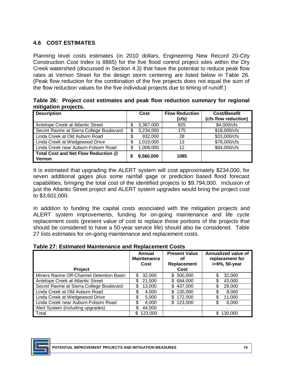## **4.6 COST ESTIMATES**

 Planning level costs estimates (in 2010 dollars, Engineering New Record 20-City Construction Cost Index is 8865) for the five flood control project sites within the Dry Creek watershed (discussed in Section 4.3) that have the potential to reduce peak flow rates at Vernon Street for the design storm centering are listed below in Table 26. (Peak flow reduction for the combination of the five projects does not equal the sum of the flow reduction values for the five individual projects due to timing of runoff.)

|                      | Table 26: Project cost estimates and peak flow reduction summary for regional |  |  |  |
|----------------------|-------------------------------------------------------------------------------|--|--|--|
| mitigation projects. |                                                                               |  |  |  |

| <b>Description</b>                            | Cost            | <b>Flow Reduction</b><br>(cfs) | <b>Cost/Benefit</b><br>(cfs flow reduction) |
|-----------------------------------------------|-----------------|--------------------------------|---------------------------------------------|
| Antelope Creek at Atlantic Street             | \$<br>3,367,000 | 825                            | \$4,000/cfs                                 |
| Secret Ravine at Sierra College Boulevard     | \$<br>3,234,000 | 175                            | \$18,000/cfs                                |
| Linda Creek at Old Auburn Road                | 932,000         | 28                             | \$33,000/cfs                                |
| Linda Creek at Wedgewood Drive                | \$<br>1,019,000 | 13                             | \$78,000/cfs                                |
| Linda Creek near Auburn-Folsom Road           | \$<br>1,008,000 | 12                             | \$84,000/cfs                                |
| Total Cost and Net Flow Reduction @<br>Vernon | 9,560,000       | 1085                           |                                             |

 It is estimated that upgrading the ALERT system will cost approximately \$234,000, for seven additional gages plus some rainfall gage or prediction based flood forecast just the Atlantic Street project and ALERT system upgrades would bring the project cost capabilities, bringing the total cost of the identified projects to \$9,794,000. Inclusion of to \$3,601,000.

 In addition to funding the capital costs associated with the mitigation projects and ALERT system improvements, funding for on-going maintenance and life cycle replacement costs (present value of cost to replace those portions of the projects that should be considered to have a 50-year service life) should also be considered. Table 27 lists estimates for on-going maintenance and replacement costs.

|  |  | <b>Table 27: Estimated Maintenance and Replacement Costs</b> |
|--|--|--------------------------------------------------------------|
|--|--|--------------------------------------------------------------|

| Project                                   | Annual<br><b>Maintenance</b><br>Cost | <b>Present Value</b><br>οf<br>Replacement<br>Cost | Annualized value of<br>replacement for<br>i=6%, 50-year |
|-------------------------------------------|--------------------------------------|---------------------------------------------------|---------------------------------------------------------|
| Miners Ravine Off-Channel Detention Basin | 32,000<br>\$                         | \$500,000                                         | S<br>32,000                                             |
| Antelope Creek at Atlantic Street         | \$<br>21,000                         | \$684,000                                         | 43,000                                                  |
| Secret Ravine at Sierra College Boulevard | \$<br>13,000                         | 437,000<br>\$.                                    | \$<br>28,000                                            |
| Linda Creek at Old Auburn Road            | \$<br>4,000                          | 130,000                                           | 8,000                                                   |
| Linda Creek at Wedgewood Drive            | 5,000                                | 172,000                                           | 11,000                                                  |
| Linda Creek near Auburn-Folsom Road       | 4,000                                | 123,000<br>\$                                     | 8,000                                                   |
| Alert System (including upgrades)         | \$<br>44,000                         |                                                   |                                                         |
| Total                                     | \$.<br>123,000                       |                                                   | 130,000                                                 |

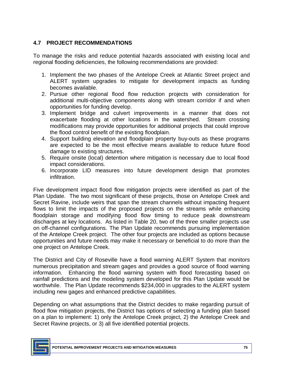## **4.7 PROJECT RECOMMENDATIONS**

 To manage the risks and reduce potential hazards associated with existing local and regional flooding deficiencies, the following recommendations are provided:

- 1. Implement the two phases of the Antelope Creek at Atlantic Street project and ALERT system upgrades to mitigate for development impacts as funding becomes available.
- 2. Pursue other regional flood flow reduction projects with consideration for additional multi-objective components along with stream corridor if and when opportunities for funding develop.
- 3. Implement bridge and culvert improvements in a manner that does not exacerbate flooding at other locations in the watershed. Stream crossing modifications may provide opportunities for additional projects that could improve the flood control benefit of the existing floodplain.
- 4. Support building elevation and floodplain property buy-outs as these programs are expected to be the most effective means available to reduce future flood damage to existing structures.
- 5. Require onsite (local) detention where mitigation is necessary due to local flood impact considerations.
- 6. Incorporate LID measures into future development design that promotes infiltration.

 Five development impact flood flow mitigation projects were identified as part of the Plan Update. The two most significant of these projects, those on Antelope Creek and Secret Ravine, include weirs that span the stream channels without impacting frequent flows to limit the impacts of the proposed projects on the streams while enhancing floodplain storage and modifying flood flow timing to reduce peak downstream discharges at key locations. As listed in Table 20, two of the three smaller projects use on off-channel configurations. The Plan Update recommends pursuing implementation of the Antelope Creek project. The other four projects are included as options because opportunities and future needs may make it necessary or beneficial to do more than the one project on Antelope Creek.

 The District and City of Roseville have a flood warning ALERT System that monitors numerous precipitation and stream gages and provides a good source of flood warning information. Enhancing the flood warning system with flood forecasting based on rainfall predictions and the modeling system developed for this Plan Update would be worthwhile. The Plan Update recommends \$234,000 in upgrades to the ALERT system including new gages and enhanced predictive capabilities.

 Depending on what assumptions that the District decides to make regarding pursuit of flood flow mitigation projects, the District has options of selecting a funding plan based on a plan to implement: 1) only the Antelope Creek project, 2) the Antelope Creek and Secret Ravine projects, or 3) all five identified potential projects.